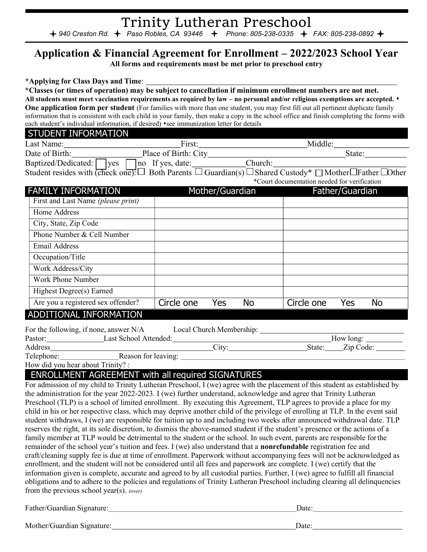### Trinity Lutheran Preschool 940 Creston Rd.  $\div$  Paso Robles, CA 93446  $\div$  Phone: 805-238-0335  $\div$  FAX: 805-238-0892

## Application & Financial Agreement for Enrollment – 2022/2023 School Year

All forms and requirements must be met prior to preschool entry

\*Applying for Class Days and Time:

\*Classes (or times of operation) may be subject to cancellation if minimum enrollment numbers are not met.

All students must meet vaccination requirements as required by law – no personal and/or religious exemptions are accepted.  $\bullet$ One application form per student (For families with more than one student, you may first fill out all pertinent duplicate family information that is consistent with each child in your family, then make a copy in the school office and finish completing the forms with each student's individual information, if desired) • see immunization letter for details

#### STUDENT INFORMATION

| Last Name:                         | First.               |         | Middle <sup>•</sup> |  |
|------------------------------------|----------------------|---------|---------------------|--|
| Date of Birth:                     | Place of Birth: City |         | State:              |  |
| Baptized/Dedicated:<br><b>Ives</b> | If yes, date:<br> no | Church: |                     |  |

Student resides with (check one):  $\Box$  Both Parents  $\Box$  Guardian(s)  $\Box$  Shared Custody\*  $\Box$  Mother  $\Box$  Father  $\Box$  Other \*Court documentation needed for verification

| <b>FAMILY INFORMATION</b>                                                |                          | Mother/Guardian |           |            | Father/Guardian                           |     |  |
|--------------------------------------------------------------------------|--------------------------|-----------------|-----------|------------|-------------------------------------------|-----|--|
| First and Last Name (please print)                                       |                          |                 |           |            |                                           |     |  |
| Home Address                                                             |                          |                 |           |            |                                           |     |  |
| City, State, Zip Code                                                    |                          |                 |           |            |                                           |     |  |
| Phone Number & Cell Number                                               |                          |                 |           |            |                                           |     |  |
| <b>Email Address</b>                                                     |                          |                 |           |            |                                           |     |  |
| Occupation/Title                                                         |                          |                 |           |            |                                           |     |  |
| Work Address/City                                                        |                          |                 |           |            |                                           |     |  |
| Work Phone Number                                                        |                          |                 |           |            |                                           |     |  |
| Highest Degree(s) Earned                                                 |                          |                 |           |            |                                           |     |  |
| Are you a registered sex offender?                                       | Circle one               | Yes             | <b>No</b> | Circle one | Yes                                       | No. |  |
| ADDITIONAL INFORMATION                                                   |                          |                 |           |            |                                           |     |  |
| For the following, if none, answer N/A<br>Doctor: I get School Attended: | Local Church Membership: |                 |           |            | $\mathbf{H}_{\mathbf{O}\mathbf{W}}$ long: |     |  |

| Pastor:    | Last School Attended: |                       |        | How long: |  |
|------------|-----------------------|-----------------------|--------|-----------|--|
| Address    |                       | $\cup$ 1 $\text{t}$ V | State: | Zip Code: |  |
| Telephone: | Reason for leaving:   |                       |        |           |  |

How did you hear about Trinity? :

## ENROLLMENT AGREEMENT with all required SIGNATURES

| For admission of my child to Trinity Lutheran Preschool, I (we) agree with the placement of this student as established by     |
|--------------------------------------------------------------------------------------------------------------------------------|
| the administration for the year 2022-2023. I (we) further understand, acknowledge and agree that Trinity Lutheran              |
| Preschool (TLP) is a school of limited enrollment. By executing this Agreement, TLP agrees to provide a place for my           |
| child in his or her respective class, which may deprive another child of the privilege of enrolling at TLP. In the event said  |
| student withdraws, I (we) are responsible for tuition up to and including two weeks after announced withdrawal date. TLP       |
| reserves the right, at its sole discretion, to dismiss the above-named student if the student's presence or the actions of a   |
| family member at TLP would be detrimental to the student or the school. In such event, parents are responsible for the         |
| remainder of the school year's tuition and fees. I (we) also understand that a <b>nonrefundable</b> registration fee and       |
| craft/cleaning supply fee is due at time of enrollment. Paperwork without accompanying fees will not be acknowledged as        |
| enrollment, and the student will not be considered until all fees and paperwork are complete. I (we) certify that the          |
| information given is complete, accurate and agreed to by all custodial parties. Further, I (we) agree to fulfill all financial |
| obligations and to adhere to the policies and regulations of Trinity Lutheran Preschool including clearing all delinquencies   |
| from the previous school year(s). (over)                                                                                       |
|                                                                                                                                |

| Father/Guardian Signature: | Date: |
|----------------------------|-------|
| Mother/Guardian Signature: | Date: |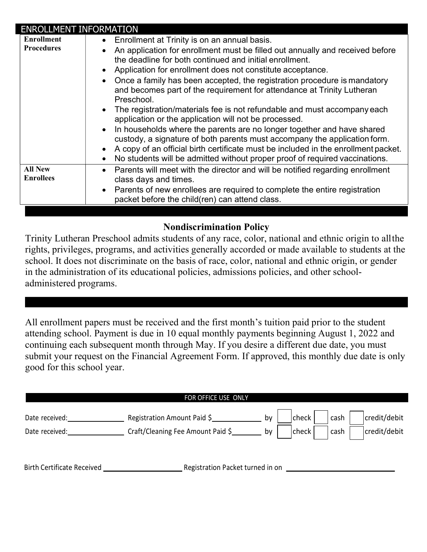| <b>ENROLLMENT INFORMATION</b>      |                                                                                                                                                                                                                                                                                                                                                                                                                                                                 |
|------------------------------------|-----------------------------------------------------------------------------------------------------------------------------------------------------------------------------------------------------------------------------------------------------------------------------------------------------------------------------------------------------------------------------------------------------------------------------------------------------------------|
| <b>Enrollment</b>                  | Enrollment at Trinity is on an annual basis.                                                                                                                                                                                                                                                                                                                                                                                                                    |
| <b>Procedures</b>                  | An application for enrollment must be filled out annually and received before<br>the deadline for both continued and initial enrollment.<br>Application for enrollment does not constitute acceptance.<br>Once a family has been accepted, the registration procedure is mandatory<br>and becomes part of the requirement for attendance at Trinity Lutheran<br>Preschool.                                                                                      |
|                                    | • The registration/materials fee is not refundable and must accompany each<br>application or the application will not be processed.<br>In households where the parents are no longer together and have shared<br>custody, a signature of both parents must accompany the application form.<br>A copy of an official birth certificate must be included in the enrollment packet.<br>No students will be admitted without proper proof of required vaccinations. |
| <b>All New</b><br><b>Enrollees</b> | • Parents will meet with the director and will be notified regarding enrollment<br>class days and times.<br>• Parents of new enrollees are required to complete the entire registration<br>packet before the child(ren) can attend class.                                                                                                                                                                                                                       |

## Nondiscrimination Policy

Trinity Lutheran Preschool admits students of any race, color, national and ethnic origin to all the rights, privileges, programs, and activities generally accorded or made available to students at the school. It does not discriminate on the basis of race, color, national and ethnic origin, or gender in the administration of its educational policies, admissions policies, and other schooladministered programs.

All enrollment papers must be received and the first month's tuition paid prior to the student attending school. Payment is due in 10 equal monthly payments beginning August 1, 2022 and continuing each subsequent month through May. If you desire a different due date, you must submit your request on the Financial Agreement Form. If approved, this monthly due date is only good for this school year.

|                                   | FOR OFFICE USE ONLY               |    |       |      |              |
|-----------------------------------|-----------------------------------|----|-------|------|--------------|
| Date received:                    | Registration Amount Paid \$       | by | check | cash | credit/debit |
| Date received:                    | Craft/Cleaning Fee Amount Paid \$ | bv | check | cash | credit/debit |
|                                   |                                   |    |       |      |              |
|                                   |                                   |    |       |      |              |
| <b>Birth Certificate Received</b> | Registration Packet turned in on  |    |       |      |              |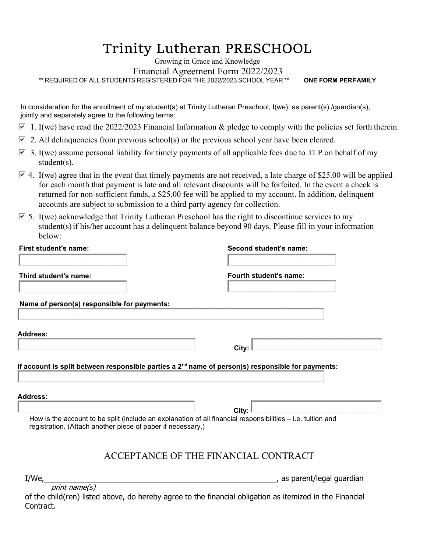# Trinity Lutheran PRESCHOOL

Growing in Grace and Knowledge Financial Agreement Form 2022/2023 \*\* REQUIRED OF ALL STUDENTS REGISTERED FOR THE 2022/2023 SCHOOL YEAR \*\* ONE FORM PERFAMILY

In consideration for the enrollment of my student(s) at Trinity Lutheran Preschool, I(we), as parent(s) /guardian(s), jointly and separately agree to the following terms:

- $\overline{9}$  1. I(we) have read the 2022/2023 Financial Information & pledge to comply with the policies set forth therein.
- 2. All delinquencies from previous school(s) or the previous school year have been cleared.
- $\overline{9}$  3. I(we) assume personal liability for timely payments of all applicable fees due to TLP on behalf of my student(s).
- $\Box$  4. I(we) agree that in the event that timely payments are not received, a late charge of \$25.00 will be applied for each month that payment is late and all relevant discounts will be forfeited. In the event a check is returned for non-sufficient funds, a \$25.00 fee will be applied to my account. In addition, delinquent accounts are subject to submission to a third party agency for collection.
- $\overline{9}$  5. I(we) acknowledge that Trinity Lutheran Preschool has the right to discontinue services to my student(s) if his/her account has a delinquent balance beyond 90 days. Please fill in your information below:

| First student's name:                                       | Second student's name:                                                                                      |
|-------------------------------------------------------------|-------------------------------------------------------------------------------------------------------------|
| Third student's name:                                       | Fourth student's name:                                                                                      |
| Name of person(s) responsible for payments:                 |                                                                                                             |
| Address:                                                    |                                                                                                             |
|                                                             | City:                                                                                                       |
| <b>Address:</b>                                             |                                                                                                             |
|                                                             | City:                                                                                                       |
| registration. (Attach another piece of paper if necessary.) | How is the account to be split (include an explanation of all financial responsibilities - i.e. tuition and |
|                                                             | ACCEPTANCE OF THE FINANCIAL CONTRACT                                                                        |
|                                                             |                                                                                                             |
| I/We,                                                       | as parent/legal guardian                                                                                    |

of the child(ren) listed above, do hereby agree to the financial obligation as itemized in the Financial Contract.